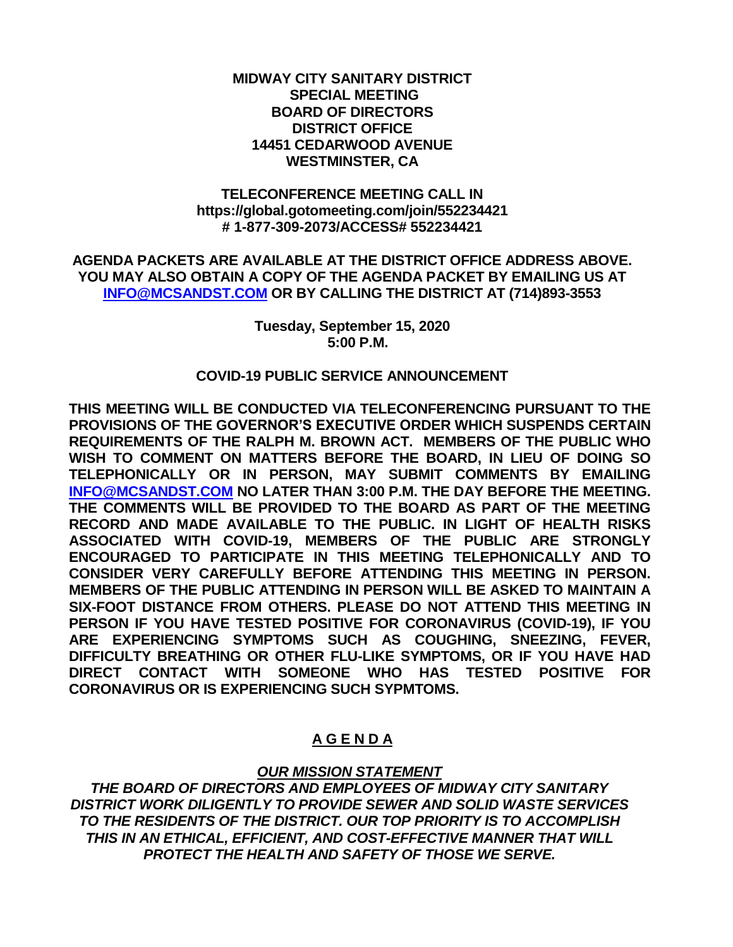#### **MIDWAY CITY SANITARY DISTRICT SPECIAL MEETING BOARD OF DIRECTORS DISTRICT OFFICE 14451 CEDARWOOD AVENUE WESTMINSTER, CA**

#### **TELECONFERENCE MEETING CALL IN https://global.gotomeeting.com/join/552234421 # 1-877-309-2073/ACCESS# 552234421**

**AGENDA PACKETS ARE AVAILABLE AT THE DISTRICT OFFICE ADDRESS ABOVE. YOU MAY ALSO OBTAIN A COPY OF THE AGENDA PACKET BY EMAILING US AT [INFO@MCSANDST.COM](mailto:INFO@MCSANDST.COM) OR BY CALLING THE DISTRICT AT (714)893-3553**

> **Tuesday, September 15, 2020 5:00 P.M.**

#### **COVID-19 PUBLIC SERVICE ANNOUNCEMENT**

**THIS MEETING WILL BE CONDUCTED VIA TELECONFERENCING PURSUANT TO THE PROVISIONS OF THE GOVERNOR'S EXECUTIVE ORDER WHICH SUSPENDS CERTAIN REQUIREMENTS OF THE RALPH M. BROWN ACT. MEMBERS OF THE PUBLIC WHO WISH TO COMMENT ON MATTERS BEFORE THE BOARD, IN LIEU OF DOING SO TELEPHONICALLY OR IN PERSON, MAY SUBMIT COMMENTS BY EMAILING [INFO@MCSANDST.COM](mailto:INFO@MCSANDST.COM) NO LATER THAN 3:00 P.M. THE DAY BEFORE THE MEETING. THE COMMENTS WILL BE PROVIDED TO THE BOARD AS PART OF THE MEETING RECORD AND MADE AVAILABLE TO THE PUBLIC. IN LIGHT OF HEALTH RISKS ASSOCIATED WITH COVID-19, MEMBERS OF THE PUBLIC ARE STRONGLY ENCOURAGED TO PARTICIPATE IN THIS MEETING TELEPHONICALLY AND TO CONSIDER VERY CAREFULLY BEFORE ATTENDING THIS MEETING IN PERSON. MEMBERS OF THE PUBLIC ATTENDING IN PERSON WILL BE ASKED TO MAINTAIN A SIX-FOOT DISTANCE FROM OTHERS. PLEASE DO NOT ATTEND THIS MEETING IN PERSON IF YOU HAVE TESTED POSITIVE FOR CORONAVIRUS (COVID-19), IF YOU ARE EXPERIENCING SYMPTOMS SUCH AS COUGHING, SNEEZING, FEVER, DIFFICULTY BREATHING OR OTHER FLU-LIKE SYMPTOMS, OR IF YOU HAVE HAD DIRECT CONTACT WITH SOMEONE WHO HAS TESTED POSITIVE FOR CORONAVIRUS OR IS EXPERIENCING SUCH SYPMTOMS.** 

# **A G E N D A**

### *OUR MISSION STATEMENT*

*THE BOARD OF DIRECTORS AND EMPLOYEES OF MIDWAY CITY SANITARY DISTRICT WORK DILIGENTLY TO PROVIDE SEWER AND SOLID WASTE SERVICES TO THE RESIDENTS OF THE DISTRICT. OUR TOP PRIORITY IS TO ACCOMPLISH THIS IN AN ETHICAL, EFFICIENT, AND COST-EFFECTIVE MANNER THAT WILL PROTECT THE HEALTH AND SAFETY OF THOSE WE SERVE.*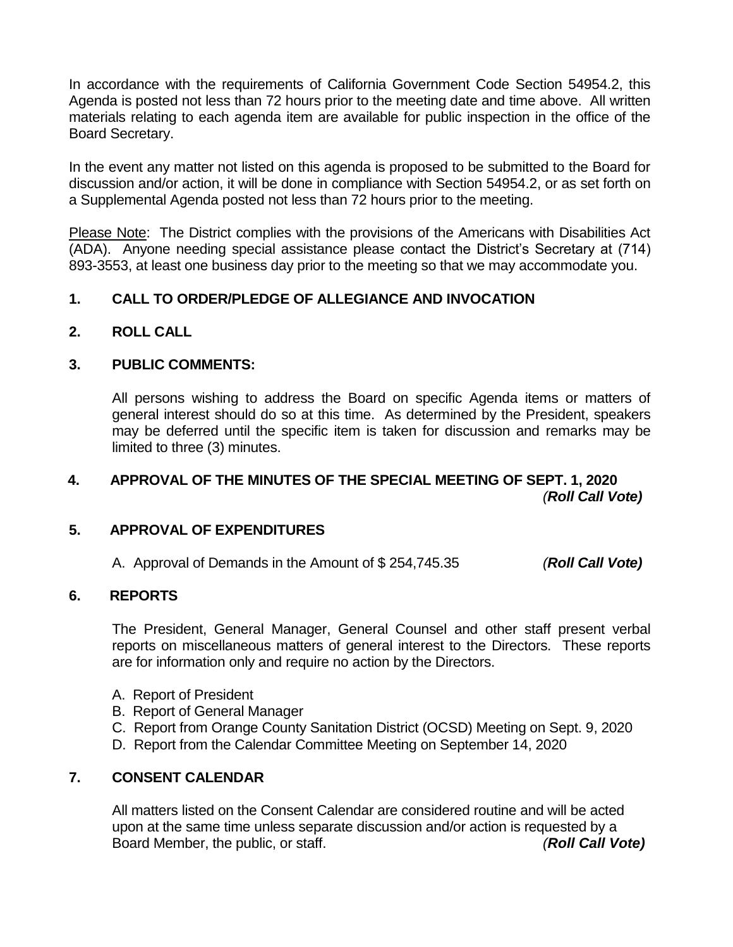In accordance with the requirements of California Government Code Section 54954.2, this Agenda is posted not less than 72 hours prior to the meeting date and time above. All written materials relating to each agenda item are available for public inspection in the office of the Board Secretary.

In the event any matter not listed on this agenda is proposed to be submitted to the Board for discussion and/or action, it will be done in compliance with Section 54954.2, or as set forth on a Supplemental Agenda posted not less than 72 hours prior to the meeting.

Please Note: The District complies with the provisions of the Americans with Disabilities Act (ADA). Anyone needing special assistance please contact the District's Secretary at (714) 893-3553, at least one business day prior to the meeting so that we may accommodate you.

## **1. CALL TO ORDER/PLEDGE OF ALLEGIANCE AND INVOCATION**

**2. ROLL CALL**

### **3. PUBLIC COMMENTS:**

All persons wishing to address the Board on specific Agenda items or matters of general interest should do so at this time. As determined by the President, speakers may be deferred until the specific item is taken for discussion and remarks may be limited to three (3) minutes.

## **4. APPROVAL OF THE MINUTES OF THE SPECIAL MEETING OF SEPT. 1, 2020** *(Roll Call Vote)*

### **5. APPROVAL OF EXPENDITURES**

A. Approval of Demands in the Amount of \$ 254,745.35 *(Roll Call Vote)*

### **6. REPORTS**

The President, General Manager, General Counsel and other staff present verbal reports on miscellaneous matters of general interest to the Directors. These reports are for information only and require no action by the Directors.

- A. Report of President
- B. Report of General Manager
- C. Report from Orange County Sanitation District (OCSD) Meeting on Sept. 9, 2020
- D. Report from the Calendar Committee Meeting on September 14, 2020

## **7. CONSENT CALENDAR**

All matters listed on the Consent Calendar are considered routine and will be acted upon at the same time unless separate discussion and/or action is requested by a Board Member, the public, or staff. *(Roll Call Vote)*